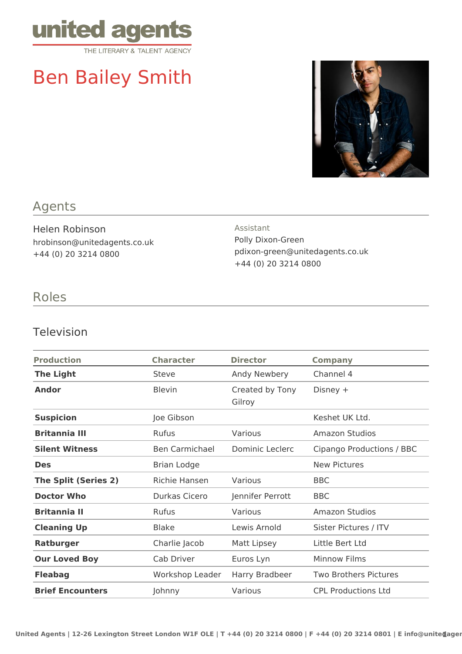

# Ben Bailey Smith



### Agents

Helen Robinson hrobinson@unitedagents.co.uk +44 (0) 20 3214 0800

## Assistant

Polly Dixon-Green pdixon-green@unitedagents.co.uk +44 (0) 20 3214 0800

#### Roles

#### Television

| <b>Production</b>           | <b>Character</b>      | <b>Director</b>           | <b>Company</b>               |
|-----------------------------|-----------------------|---------------------------|------------------------------|
| <b>The Light</b>            | Steve                 | Andy Newbery              | Channel 4                    |
| <b>Andor</b>                | <b>Blevin</b>         | Created by Tony<br>Gilroy | Disney $+$                   |
| <b>Suspicion</b>            | Joe Gibson            |                           | Keshet UK Ltd.               |
| <b>Britannia III</b>        | Rufus                 | Various                   | Amazon Studios               |
| <b>Silent Witness</b>       | <b>Ben Carmichael</b> | Dominic Leclerc           | Cipango Productions / BBC    |
| <b>Des</b>                  | Brian Lodge           |                           | <b>New Pictures</b>          |
| <b>The Split (Series 2)</b> | Richie Hansen         | Various                   | <b>BBC</b>                   |
| <b>Doctor Who</b>           | Durkas Cicero         | Jennifer Perrott          | <b>BBC</b>                   |
| <b>Britannia II</b>         | <b>Rufus</b>          | Various                   | <b>Amazon Studios</b>        |
| <b>Cleaning Up</b>          | <b>Blake</b>          | Lewis Arnold              | Sister Pictures / ITV        |
| <b>Ratburger</b>            | Charlie Jacob         | Matt Lipsey               | Little Bert Ltd              |
| <b>Our Loved Boy</b>        | Cab Driver            | Euros Lyn                 | <b>Minnow Films</b>          |
| <b>Fleabag</b>              | Workshop Leader       | Harry Bradbeer            | <b>Two Brothers Pictures</b> |
| <b>Brief Encounters</b>     | Johnny                | Various                   | <b>CPL Productions Ltd</b>   |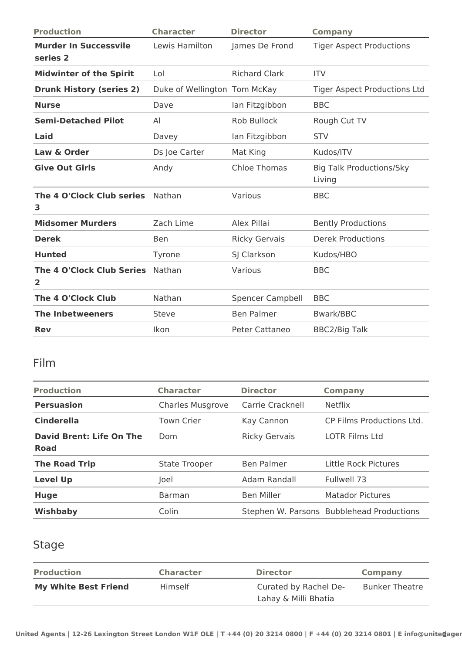| <b>Production</b>                                           | <b>Character</b>             | <b>Director</b>         | <b>Company</b>                            |
|-------------------------------------------------------------|------------------------------|-------------------------|-------------------------------------------|
| <b>Murder In Successvile</b><br>series 2                    | Lewis Hamilton               | James De Frond          | <b>Tiger Aspect Productions</b>           |
| <b>Midwinter of the Spirit</b>                              | Lol                          | <b>Richard Clark</b>    | <b>ITV</b>                                |
| <b>Drunk History (series 2)</b>                             | Duke of Wellington Tom McKay |                         | <b>Tiger Aspect Productions Ltd</b>       |
| <b>Nurse</b>                                                | Dave                         | lan Fitzgibbon          | <b>BBC</b>                                |
| <b>Semi-Detached Pilot</b>                                  | AI                           | <b>Rob Bullock</b>      | Rough Cut TV                              |
| Laid                                                        | Davey                        | lan Fitzgibbon          | <b>STV</b>                                |
| Law & Order                                                 | Ds Joe Carter                | Mat King                | Kudos/ITV                                 |
| <b>Give Out Girls</b>                                       | Andy                         | <b>Chloe Thomas</b>     | <b>Big Talk Productions/Sky</b><br>Living |
| The 4 O'Clock Club series<br>3                              | Nathan                       | Various                 | <b>BBC</b>                                |
| <b>Midsomer Murders</b>                                     | Zach Lime                    | Alex Pillai             | <b>Bently Productions</b>                 |
| <b>Derek</b>                                                | <b>Ben</b>                   | <b>Ricky Gervais</b>    | <b>Derek Productions</b>                  |
| <b>Hunted</b>                                               | Tyrone                       | SJ Clarkson             | Kudos/HBO                                 |
| <b>The 4 O'Clock Club Series</b><br>$\overline{\mathbf{2}}$ | Nathan                       | Various                 | <b>BBC</b>                                |
| The 4 O'Clock Club                                          | Nathan                       | <b>Spencer Campbell</b> | <b>BBC</b>                                |
| <b>The Inbetweeners</b>                                     | Steve                        | <b>Ben Palmer</b>       | Bwark/BBC                                 |
| <b>Rev</b>                                                  | Ikon                         | Peter Cattaneo          | <b>BBC2/Big Talk</b>                      |

#### Film

| <b>Production</b>                       | <b>Character</b>        | <b>Director</b>      | <b>Company</b>                            |
|-----------------------------------------|-------------------------|----------------------|-------------------------------------------|
| <b>Persuasion</b>                       | <b>Charles Musgrove</b> | Carrie Cracknell     | <b>Netflix</b>                            |
| <b>Cinderella</b>                       | <b>Town Crier</b>       | Kay Cannon           | CP Films Productions Ltd.                 |
| David Brent: Life On The<br><b>Road</b> | Dom                     | <b>Ricky Gervais</b> | <b>LOTR Films Ltd</b>                     |
| <b>The Road Trip</b>                    | <b>State Trooper</b>    | <b>Ben Palmer</b>    | Little Rock Pictures                      |
| <b>Level Up</b>                         | Joel                    | Adam Randall         | Fullwell 73                               |
| <b>Huge</b>                             | <b>Barman</b>           | <b>Ben Miller</b>    | Matador Pictures                          |
| Wishbaby                                | Colin                   |                      | Stephen W. Parsons Bubblehead Productions |

### Stage

| <b>Production</b>           | <b>Character</b> | <b>Director</b>       | Company               |
|-----------------------------|------------------|-----------------------|-----------------------|
| <b>My White Best Friend</b> | Himself          | Curated by Rachel De- | <b>Bunker Theatre</b> |
|                             |                  | Lahay & Milli Bhatia  |                       |